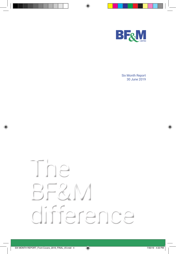

Six Month Report 30 June 2019

# The BF&M difference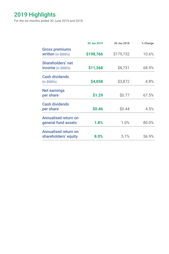# 2019 Highlights

For the six months ended 30 June 2019 and 2018

|                                                     | 30 Jun 2019 | 30 Jun 2018 | % Change |
|-----------------------------------------------------|-------------|-------------|----------|
| <b>Gross premiums</b><br>written (in \$000's)       | \$198,766   | \$179,732   | 10.6%    |
| Shareholders' net<br><b>income</b> (in \$000's)     | \$11,368    | \$6,731     | 68.9%    |
| <b>Cash dividends</b><br>(in \$000's)               | \$4,058     | \$3,872     | 4.8%     |
| <b>Net earnings</b><br>per share                    | \$1.29      | \$0.77      | 67.5%    |
| <b>Cash dividends</b><br>per share                  | \$0.46      | \$0.44      | 4.5%     |
| Annualised return on<br>general fund assets         | 1.8%        | 1.0%        | 80.0%    |
| <b>Annualised return on</b><br>shareholders' equity | 8.0%        | 5.1%        | 56.9%    |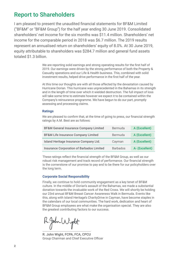# Report to Shareholders

I am pleased to present the unaudited fnancial statements for BF&M Limited ("BF&M" or "BF&M Group") for the half year ending 30 June 2019. Consolidated shareholders' net income for the six months was \$11.4 million. Shareholders' net income for the comparable period in 2018 was \$6.7 million. The 2019 results represent an annualised return on shareholders' equity of 8.0%. At 30 June 2019, equity attributable to shareholders was \$284.7 million and general fund assets totaled \$1.3 billion.

> We are reporting solid earnings and strong operating results for the first half of 2019. Our earnings were driven by the strong performance of both the Property & Casualty operations and our Life & Health business. This, combined with solid investment results, helped drive performance in the frst half of the year.

At this time our thoughts are with all those affected by the devastation caused by Hurricane Dorian. This hurricane was unprecedented in the Bahamas in its strength and in the length of time over which it wielded destruction. The full impact of loss will take some time to estimate however we expect it to be contained within the Company's reinsurance programme. We have begun to do our part, promptly assessing and processing claims.

## **Ratings**

We are pleased to confrm that, at the time of going to press, our fnancial strength ratings by A.M. Best are as follows:

| <b>BF&amp;M General Insurance Company Limited</b> | Bermuda         | A (Excellent)  |
|---------------------------------------------------|-----------------|----------------|
| <b>BF&amp;M Life Insurance Company Limited</b>    | Bermuda         | A (Excellent)  |
| Island Heritage Insurance Company Ltd.            | Cayman          | A (Excellent)  |
| <b>Insurance Corporation of Barbados Limited</b>  | <b>Barbados</b> | A- (Excellent) |

These ratings refect the fnancial strength of the BF&M Group, as well as our robust risk management and track record of performance. Our fnancial strength is the cornerstone of our promise to pay and to be there for our policyholders over the long term.

## **Corporate Social Responsibility**

Finally, we continue to hold community engagement as a key tenet of BF&M culture. In the middle of Dorian's assault of the Bahamas, we made a substantial donation towards the invaluable work of the Red Cross. We will shortly be holding our 23rd annual BF&M Breast Cancer Awareness Walk in Bermuda. Events like this, along with Island Heritage's CharityDrive in Cayman, have become staples in the calendars of our local communities. The hard work, dedication and heart of BF&M Group employees are what make the organisation special. They are also the greatest contributing factors to our success.

R.John Wight

R. John Wight, FCPA, FCA, CPCU Group Chairman and Chief Executive Officer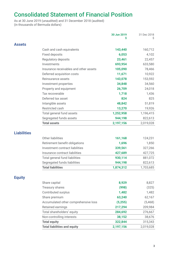# Consolidated Statement of Financial Position

As at 30 June 2019 (unaudited) and 31 December 2018 (audited) (in thousands of Bermuda dollars)

|                    |                                        | 30 Jun 2019<br>s | 31 Dec 2018 |
|--------------------|----------------------------------------|------------------|-------------|
| <b>Assets</b>      |                                        |                  |             |
|                    | Cash and cash equivalents              | 143,440          | 160,712     |
|                    | <b>Fixed deposits</b>                  | 6,053            | 4,102       |
|                    | Regulatory deposits                    | 23,461           | 22,457      |
|                    | Investments                            | 693,954          | 633,580     |
|                    | Insurance receivables and other assets | 105,090          | 78,466      |
|                    | Deferred acquisition costs             | 11,671           | 10,922      |
|                    | Reinsurance assets                     | 143,078          | 153,592     |
|                    | Investment properties                  | 34,848           | 34,560      |
|                    | Property and equipment                 | 26,709           | 24,018      |
|                    | Tax recoverable                        | 1,718            | 1,436       |
|                    | Deferred tax asset                     | 824              | 825         |
|                    | Intangible assets                      | 48,842           | 51,819      |
|                    | Restricted cash                        | 13,270           | 19,926      |
|                    | Total general fund assets              | 1,252,958        | 1,196,415   |
|                    | Segregated funds assets                | 944,198          | 822,613     |
|                    | <b>Total assets</b>                    | 2,197,156        | 2,019,028   |
|                    |                                        |                  |             |
| <b>Liabilities</b> |                                        |                  |             |
|                    | Other liabilities                      | 161,168          | 124,231     |
|                    | Retirement benefit obligations         | 1,696            | 1,850       |
|                    | Investment contract liabilities        | 339,561          | 327,266     |
|                    | Insurance contract liabilities         | 427,689          | 427,725     |
|                    | Total general fund liabilities         | 930,114          | 881,072     |
|                    | Segregated funds liabilities           | 944,198          | 822,613     |
|                    | <b>Total liabilities</b>               | 1,874,312        | 1,703,685   |
|                    |                                        |                  |             |
| <b>Equity</b>      |                                        |                  |             |
|                    | Share capital                          | 8,929            | 8,827       |
|                    | Treasury shares                        | (998)            | (325)       |
|                    | Contributed surplus                    | 1,482            | 1,482       |
|                    | Share premium                          | 63,240           | 62,167      |
|                    | Accumulated other comprehensive loss   | (5,255)          | (5,468)     |
|                    | Retained earnings                      | 217,294          | 209,984     |
|                    | Total shareholders' equity             | 284,692          | 276,667     |
|                    | Non-controlling interests              | 38,152           | 38,676      |
|                    | <b>Total equity</b>                    | 322,844          | 315,343     |
|                    | <b>Total liabilities and equity</b>    | 2,197,156        | 2,019,028   |
|                    |                                        |                  |             |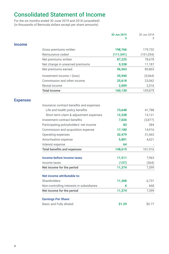# Consolidated Statement of Income

For the six months ended 30 June 2019 and 2018 (unaudited) (in thousands of Bermuda dollars except per share amounts)

|                 |                                           | 30 Jun 2019<br>Ś | 30 Jun 2018<br>Ś |
|-----------------|-------------------------------------------|------------------|------------------|
| <b>Income</b>   |                                           |                  |                  |
|                 | Gross premiums written                    | 198,766          | 179,732          |
|                 | Reinsurance ceded                         | (111, 541)       | (101, 054)       |
|                 | Net premiums written                      | 87,225           | 78,678           |
|                 | Net change in unearned premiums           | 9,338            | 11,187           |
|                 | Net premiums earned                       | 96,563           | 89,865           |
|                 | Investment income / (loss)                | 35,940           | (5,064)          |
|                 | Commission and other income               | 25,618           | 23,062           |
|                 | Rental income                             | 2,009            | 2,016            |
|                 | <b>Total income</b>                       | 160,130          | 109,879          |
| <b>Expenses</b> |                                           |                  |                  |
|                 | Insurance contract benefits and expenses  |                  |                  |
|                 | Life and health policy benefits           | 73,648           | 41,788           |
|                 | Short term claim & adjustment expenses    | 12,338           | 13,121           |
|                 | Investment contract benefits              | 7,026            | (3,877)          |
|                 | Participating policyholders' net income   | 83               | 284              |
|                 | Commission and acquisition expense        | 17,180           | 14,916           |
|                 | Operating expenses                        | 32,479           | 31,063           |
|                 | Amortisation expense                      | 5,801            | 4,621            |
|                 | Interest expense                          | 64               |                  |
|                 | <b>Total benefits and expenses</b>        | 148,619          | 101,916          |
|                 | Income before income taxes                | 11,511           | 7,963            |
|                 | Income taxes                              | (137)            | (564)            |
|                 | Net income for the period                 | 11,374           | 7,399            |
|                 | Net income attributable to:               |                  |                  |
|                 | Shareholders                              | 11,368           | 6,731            |
|                 | Non-controlling interests in subsidiaries | 6                | 668              |
|                 | Net income for the period                 | 11,374           | 7,399            |
|                 | <b>Earnings Per Share:</b>                |                  |                  |
|                 | Basic and Fully diluted                   | \$1.29           | \$0.77           |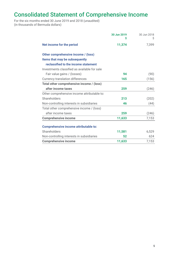# Consolidated Statement of Comprehensive Income

For the six months ended 30 June 2019 and 2018 (unaudited) (in thousands of Bermuda dollars)

|                                              | 30 Jun 2019<br>S | 30 Jun 2018<br>S |
|----------------------------------------------|------------------|------------------|
| Net income for the period                    | 11,374           | 7,399            |
| Other comprehensive income / (loss)          |                  |                  |
| Items that may be subsequently               |                  |                  |
| reclassified to the income statement         |                  |                  |
| Investments classified as available for sale |                  |                  |
| Fair value gains / (losses)                  | 94               | (90)             |
| Currency translation differences             | 165              | (156)            |
| Total other comprehensive income / (loss)    |                  |                  |
| after income taxes                           | 259              | (246)            |
| Other comprehensive income attributable to:  |                  |                  |
| Shareholders                                 | 213              | (202)            |
| Non-controlling interests in subsidiaries    | 46               | (44)             |
| Total other comprehensive income / (loss)    |                  |                  |
| after income taxes                           | 259              | (246)            |
| <b>Comprehensive income</b>                  | 11,633           | 7,153            |
| <b>Comprehensive income attributable to:</b> |                  |                  |
| Shareholders                                 | 11,581           | 6,529            |
| Non-controlling interests in subsidiaries    | 52               | 624              |
| <b>Comprehensive income</b>                  | 11,633           | 7,153            |
|                                              |                  |                  |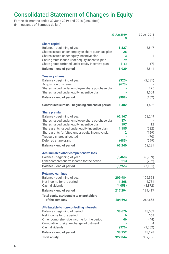# Consolidated Statement of Changes in Equity

For the six months ended 30 June 2019 and 2018 (unaudited) (in thousands of Bermuda dollars)

|                                                    | 30 Jun 2019<br>Ś | 30 Jun 2018 |
|----------------------------------------------------|------------------|-------------|
|                                                    |                  |             |
| <b>Share capital</b>                               |                  |             |
| Balance - beginning of year                        | 8,827            | 8,847       |
| Shares issued under employee share purchase plan   | 26               |             |
| Shares issued under equity incentive plan          | 13               | 1           |
| Share grants issued under equity incentive plan    | 79               |             |
| Share grants forfeited under equity incentive plan | (16)             | (7)         |
| <b>Balance - end of period</b>                     | 8,929            | 8,841       |
| <b>Treasury shares</b>                             |                  |             |
| Balance - beginning of year                        | (325)            | (2,031)     |
| Acquisition of shares                              | (673)            |             |
| Shares issued under employee share purchase plan   |                  | 275         |
| Shares issued under equity incentive plan          |                  | 1,604       |
| Balance - end of period                            | (998)            | (152)       |
| Contributed surplus - beginning and end of period  | 1,482            | 1,482       |
|                                                    |                  |             |
| <b>Share premium</b>                               |                  |             |
| Balance - beginning of year                        | 62,167           | 63,249      |
| Shares issued under employee share purchase plan   | 374              |             |
| Shares issued under equity incentive plan          | 197              | 12          |
| Share grants issued under equity incentive plan    | 1,185            | (232)       |
| Share grants forfeited under equity incentive plan | 2                | (129)       |
| Treasury shares allocated                          |                  | (70)        |
| Deferred share grant                               | (685)            | (599)       |
| <b>Balance - end of period</b>                     | 63,240           | 62,231      |
| <b>Accumulated other comprehensive loss</b>        |                  |             |
| Balance - beginning of year                        | (5, 468)         | (6,959)     |
| Other comprehensive income for the period          | 213              | (202)       |
| <b>Balance - end of period</b>                     | (5,255)          | (7, 161)    |
| <b>Retained earnings</b>                           |                  |             |
| Balance - beginning of year                        | 209,984          | 196,558     |
| Net income for the period                          | 11,368           | 6,731       |
| Cash dividends                                     | (4,058)          | (3,872)     |
| <b>Balance - end of period</b>                     | 217,294          | 199,417     |
| Total equity attributable to shareholders          |                  |             |
| of the company                                     | 284,692          | 264,658     |
| Attributable to non-controlling interests          |                  |             |
| Balance - beginning of period                      | 38,676           | 43,582      |
| Net income for the period                          | 6                | 668         |
| Other comprehensive income for the period          | 46               | (44)        |
| Cumulative foreign exchange adjustment             |                  |             |
| Cash dividends                                     | (576)            | (1,082)     |
| <b>Balance - end of period</b>                     | 38,152           | 43,128      |
| <b>Total equity</b>                                | 322,844          | 307,786     |
|                                                    |                  |             |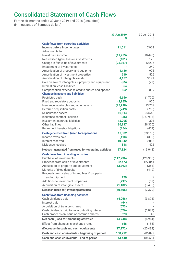# Consolidated Statement of Cash Flows

For the six months ended 30 June 2019 and 2018 (unaudited) (in thousands of Bermuda dollars)

|                                                         | 30 Jun 2019 | 30 Jun 2018 |
|---------------------------------------------------------|-------------|-------------|
|                                                         | Ś           | Ś           |
| <b>Cash flows from operating activities</b>             |             |             |
| Income before income taxes                              | 11,511      | 7,963       |
| Adjustments for:                                        |             |             |
| Investment income                                       | (11,755)    | (10, 445)   |
| Net realised (gain) loss on investments                 | (181)       | 126         |
| Change in fair value of investments                     | (25, 367)   | 12,235      |
| Impairment of investments                               |             | 1,240       |
|                                                         |             | 975         |
| Amortisation of property and equipment                  | 1,136       |             |
| Amortisation of investment properties                   | 510         | 526         |
| Amortisation of intangible assets                       | 4,157       | 3.121       |
| Gain on sale of intangibles & property and equipment    | (55)        | (29)        |
| Interest on lease liabilities                           | 64          |             |
| Compensation expense related to shares and options      | 552         | 819         |
| <b>Changes in assets and liabilities:</b>               |             |             |
| Restricted cash                                         | 6,656       | (1,770)     |
| Fixed and regulatory deposits                           | (2,955)     | 970         |
| Insurance receivables and other assets                  | (25,998)    | 13,757      |
| Deferred acquisition costs                              | (749)       | (758)       |
| Reinsurance assets                                      | 10,514      | 333,545     |
| Insurance contract liabilities                          | (36)        | (357, 913)  |
| Investment contract liabilities                         | 12,295      | 1,301       |
| Other liabilities                                       | 36,937      | (28, 370)   |
| Retirement benefit obligations                          | (154)       | (459)       |
|                                                         |             |             |
| Cash generated from (used for) operations               | 17,082      | (23, 166)   |
| Income taxes paid                                       | (418)       | (392)       |
| Interest received                                       | 10,342      | 10,088      |
| Dividends received                                      | 818         | 422         |
| Net cash generated from (used for) operating activities | 27,824      | (13,048)    |
| <b>Cash flows from investing activities</b>             |             |             |
| Purchase of investments                                 | (117, 236)  | (120, 956)  |
| Proceeds from sales of investments                      | 82,473      | 122,844     |
| Acquisition of property and equipment                   | (3,893)     | (361)       |
| Maturity of fixed deposits                              |             | (419)       |
| Proceeds from sales of intangibles & property           |             |             |
| and equipment                                           | 129         | 7           |
| Additions to investment properties                      |             |             |
|                                                         | (797)       | (52)        |
| Acquisition of intangible assets                        | (1, 182)    | (3,433)     |
| Net cash (used for) investing activities                | (40, 506)   | (2,370)     |
| <b>Cash flows from financing activities</b>             |             |             |
| Cash dividends paid                                     | (4,058)     | (3,872)     |
| Interest paid                                           | (64)        |             |
| Acquisition of treasury shares                          | (673)       |             |
| Cash dividends paid to non-controlling interest         | (576)       | (1,082)     |
| Cash proceeds on issue of common shares                 | 623         | 40          |
| Net cash (used for) financing activities                | (4,748)     | (4, 914)    |
| Effect from changes in exchange rates                   | 158         | (156)       |
| (Decrease) in cash and cash equivalents                 | (17, 272)   | (20, 488)   |
| Cash and cash equivalents - beginning of period         | 160,712     | 205,072     |
| Cash and cash equivalents - end of period               | 143,440     | 184,584     |
|                                                         |             |             |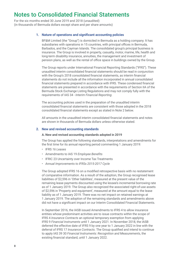For the six months ended 30 June 2019 and 2018 (unaudited) (in thousands of Bermuda dollars except share and per share amounts)

## **1. Nature of operations and signifcant accounting policies**

 BF&M Limited (the "Group") is domiciled in Bermuda as a holding company. It has subsidiaries with operations in 15 countries, with principal offices in Bermuda, Barbados, and the Cayman Islands. The consolidated group's principal business is insurance. The Group is involved in property, casualty, motor, marine, life, health and long-term disability insurance, annuities, the management and investment of pension plans, as well as the rental of office space in buildings owned by the Group.

 The Group reports under International Financial Reporting Standards ("IFRS"). These unaudited interim consolidated fnancial statements should be read in conjunction with the Group's 2018 consolidated fnancial statements, as interim fnancial statements do not include all the information incorporated in annual consolidated fnancial statements prepared in accordance with IFRS. These condensed fnancial statements are presented in accordance with the requirements of Section IIA of the Bermuda Stock Exchange Listing Regulations and may not comply fully with the requirements of IAS 34 - *Interim Financial Reporting*.

 The accounting policies used in the preparation of the unaudited interim consolidated fnancial statements are consistent with those adopted in the 2018 consolidated fnancial statements except as stated in Note 2 below.

 All amounts in the unaudited interim consolidated fnancial statements and notes are shown in thousands of Bermuda dollars unless otherwise stated.

## **2. New and revised accounting standards**

#### **A. New and revised accounting standards adopted in 2019**

 The Group has applied the following standards, interpretations and amendments for the frst time for its annual reporting period commenting 1 January 2019:

- IFRS *16 Leases*
- *•* Amendments to IAS 19 *Employee Benefts*
- *•* IFRIC 23 Uncertainty over Income Tax Treatments
- *• Annual Improvements to IFRSs 2015-2017 Cycle*

 The Group adopted IFRS 16 on a modifed retrospective basis with no restatement of comparative information. As a result of the adoption, the Group recognised lease liabilities of \$2,596 in 'Other liabilities', measured at the present value of the remaining lease payments discounted using the lessee's incremental borrowing rate as of 1 January 2019. The Group also recognized the associated right-of-use assets of \$2,596 in 'Property and equipment', measured at the amount equal to the lease liability as of 1 January 2019. There was no net impact on retained earnings at 1 January 2019. The adoption of the remaining standards and amendments above did not have a signifcant impact on our Interim Consolidated Financial Statements.

 In September 2016, the IASB issued Amendments to IFRS 4 to allow insurance entities whose predominant activities are to issue contracts within the scope of IFRS 4 *Insurance Contracts* an optional temporary exemption from applying IFRS 9 *Financial Instruments* until 1 January 2021. In November 2018, the IASB deferred the effective date of IFRS 9 by one year to 1 January 2022 in line with the deferral of IFRS 17 *Insurance Contracts*. The Group qualifed and intend to continue to apply IAS 39 30 *Financial Instruments: Recognition and Measurements*, the existing fnancial standard, until 1 January 2022.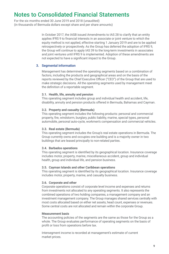For the six months ended 30 June 2019 and 2018 (unaudited) (in thousands of Bermuda dollars except share and per share amounts)

> In October 2017, the IASB issued Amendments to IAS 28 to clarify that an entity applies IFRS 9 to fnancial interests in an associate or joint venture to which the equity method is not applied, effective starting 1 January 2019 and are to be applied retrospectively or prospectively. As the Group has deferred the adoption of IFRS 9, the Group will continue to apply IAS 39 to the long-term investments in associates and joint ventures until IFRS 9 is implemented. Adoption of these amendments are not expected to have a signifcant impact to the Group.

## **3. Segmental information**

 Management has determined the operating segments based on a combination of factors, including the products and geographical areas and on the basis of the reports reviewed by the Chief Executive Officer ("CEO") of the Group that are used to make strategic decisions. All the operating segments used by management meet the defnition of a reportable segment.

#### **3.1. Health, life, annuity and pension**

 This operating segment includes group and individual health and accident, life, disability, annuity and pension products offered in Bermuda, Bahamas and Cayman.

#### **3.2. Property and casualty (Bermuda)**

 This operating segment includes the following products: personal and commercial property, fre, windstorm, burglary, public liability, marine, special types, personal automobile, personal auto-cycle, workmen's compensation and commercial vehicles.

#### **3.3. Real estate (Bermuda)**

 This operating segment includes the Group's real estate operations in Bermuda. The Group currently owns and occupies one building and is a majority owner in two buildings that are leased principally to non-related parties.

## **3.4. Barbados operations**

 This operating segment is identifed by its geographical location. Insurance coverage includes motor, property, marine, miscellaneous accident, group and individual health, group and individual life, and pension business.

#### **3.5. Cayman Islands and other Caribbean operations**

 This operating segment is identifed by its geographical location. Insurance coverage includes motor, property, marine, and casualty business.

## **3.6. Corporate and other**

 Corporate operations consist of corporate level income and expenses and returns from investments not allocated to any operating segments. It also represents the combined operations of two holding companies, a management company and an investment management company. The Group manages shared services centrally with most costs allocated based on either net assets, head count, expenses or revenues. Some central costs are not allocated and remain within the corporate Group.

#### **Measurement basis**

 The accounting policies of the segments are the same as those for the Group as a whole. The Group evaluates performance of operating segments on the basis of profit or loss from operations before tax.

 Intersegment income is recorded at management's estimate of current market prices.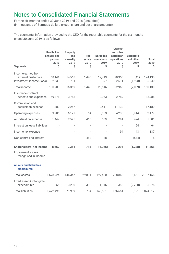For the six months ended 30 June 2019 and 2018 (unaudited) (in thousands of Bermuda dollars except share and per share amounts)

The segmental information provided to the CEO for the reportable segments for the six months ended 30 June 2019 is as follows:

| <b>Segments</b>                                                      | Health, life,<br>annuity, and<br>pension<br>2019<br>Ś | Property<br>and<br>casualty<br>2019<br>Ś | Real<br>estate<br>2019<br>Ś | <b>Barbados</b><br>operations<br>2019<br>Ś | Cayman<br>and other<br>Caribbean<br>operations<br>2019<br>Ś | Corporate<br>and other<br>2019<br>Ś | Total<br>2019<br>\$ |
|----------------------------------------------------------------------|-------------------------------------------------------|------------------------------------------|-----------------------------|--------------------------------------------|-------------------------------------------------------------|-------------------------------------|---------------------|
| Income earned from<br>external customers<br>Investment income (loss) | 68,141<br>32,639                                      | 14,568<br>1,791                          | 1,448                       | 19,719<br>897                              | 20,355<br>2,611                                             | (41)<br>(1,998)                     | 124,190<br>35,940   |
| <b>Total income</b>                                                  | 100,780                                               | 16,359                                   | 1,448                       | 20,616                                     | 22,966                                                      | (2,039)                             | 160,130             |
| Insurance contract<br>benefits and expenses                          | 69,371                                                | 3,763                                    |                             | 10,063                                     | 2,789                                                       |                                     | 85,986              |
| Commission and<br>acquisition expense                                | 1,380                                                 | 2,257                                    |                             | 2,411                                      | 11,132                                                      |                                     | 17,180              |
| Operating expenses                                                   | 9,986                                                 | 6,127                                    | 54                          | 8,133                                      | 4,235                                                       | 3,944                               | 32,479              |
| Amortisation expense                                                 | 1,447                                                 | 2,595                                    | 465                         | 539                                        | 281                                                         | 474                                 | 5,801               |
| Interest on lease liabilities                                        |                                                       |                                          |                             |                                            |                                                             | 64                                  | 64                  |
| Income tax expense                                                   |                                                       |                                          |                             |                                            | 94                                                          | 43                                  | 137                 |
| Non-controlling interest                                             |                                                       |                                          | 462                         | 88                                         | ÷,                                                          | (544)                               | 6                   |
| Shareholders' net income                                             | 8,262                                                 | 2,351                                    | 715                         | (1,026)                                    | 2,294                                                       | (1,228)                             | 11,368              |
| Impairment losses<br>recognised in income                            |                                                       |                                          |                             |                                            |                                                             |                                     |                     |
| <b>Assets and liabilities</b><br>disclosures                         |                                                       |                                          |                             |                                            |                                                             |                                     |                     |
| <b>Total assets</b>                                                  | 1,578,924                                             | 146,347                                  | 29,881                      | 197,480                                    | 228,863                                                     | 15,661                              | 2,197,156           |
| Fixed asset & intangible<br>expenditures                             | 355                                                   | 3,230                                    | 1,382                       | 1,946                                      | 382                                                         | (2,220)                             | 5,075               |
| <b>Total liabilities</b>                                             | 1,472,496                                             | 71,909                                   | 784                         | 143,551                                    | 176,651                                                     | 8,921                               | 1,874,312           |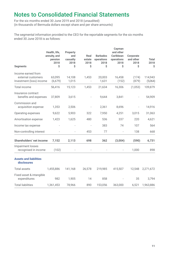For the six months ended 30 June 2019 and 2018 (unaudited) (in thousands of Bermuda dollars except share and per share amounts)

The segmental information provided to the CEO for the reportable segments for the six months ended 30 June 2018 is as follows:

| <b>Segments</b>                                                      | Health, life,<br>annuity, and<br>pension<br>2018<br>\$ | Property<br>and<br>casualty<br>2018<br>Ś | Real<br>estate<br>2018<br>Ś | <b>Barbados</b><br>operations<br>2018<br>Ś | Cayman<br>and other<br>Caribbean<br>operations<br>2018<br>Ś | Corporate<br>and other<br>2018<br>\$ | <b>Total</b><br>2018<br>\$ |
|----------------------------------------------------------------------|--------------------------------------------------------|------------------------------------------|-----------------------------|--------------------------------------------|-------------------------------------------------------------|--------------------------------------|----------------------------|
| Income earned from<br>external customers<br>Investment (loss) income | 63,095<br>(6,679)                                      | 14,108<br>1,015                          | 1,453                       | 20,003<br>1,631                            | 16,458<br>(152)                                             | (174)<br>(879)                       | 114,943<br>(5,064)         |
| Total income                                                         | 56,416                                                 | 15,123                                   | 1,453                       | 21,634                                     | 16,306                                                      | (1,053)                              | 109,879                    |
| Insurance contract<br>benefits and expenses                          | 37,809                                                 | 3,615                                    |                             | 9.644                                      | 3,841                                                       |                                      | 54,909                     |
| Commission and<br>acquisition expense                                | 1,353                                                  | 2,506                                    |                             | 2,361                                      | 8,696                                                       |                                      | 14,916                     |
| Operating expenses                                                   | 9,622                                                  | 5,903                                    | 322                         | 7,950                                      | 4,251                                                       | 3,015                                | 31,063                     |
| Amortisation expense                                                 | 1,423                                                  | 1,625                                    | 480                         | 536                                        | 337                                                         | 220                                  | 4,621                      |
| Income tax expense                                                   |                                                        |                                          |                             | 383                                        | 74                                                          | 107                                  | 564                        |
| Non-controlling interest                                             |                                                        |                                          | 453                         | 77                                         |                                                             | 138                                  | 668                        |
| Shareholders' net income                                             | 7,152                                                  | 2,113                                    | 698                         | 362                                        | (3,004)                                                     | (590)                                | 6,731                      |
| Impairment losses<br>recognised in income                            | (102)                                                  |                                          |                             |                                            |                                                             | 1,000                                | 898                        |
| <b>Assets and liabilities</b><br>disclosures                         |                                                        |                                          |                             |                                            |                                                             |                                      |                            |
| <b>Total assets</b>                                                  | 1,455,886                                              | 141,168                                  | 26,578                      | 219,985                                    | 415,507                                                     | 12.548                               | 2,271,672                  |
| Fixed asset & intangible<br>expenditures                             | 982                                                    | 1,905                                    | 14                          | 858                                        |                                                             | 35                                   | 3,794                      |
| <b>Total liabilities</b>                                             | 1,361,453                                              | 78,966                                   | 890                         | 153,056                                    | 363,000                                                     | 6,521                                | 1,963,886                  |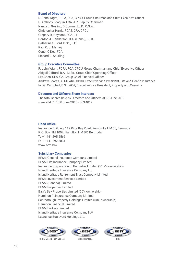## **Board of Directors**

R. John Wight, FCPA, FCA, CPCU, Group Chairman and Chief Executive Officer L. Anthony Joaquin, FCA, J.P., Deputy Chairman Nancy L. Gosling, B.Comm., LL.D., C.G.A. Christopher Harris, FCAS, CFA, CPCU Gregory D. Haycock, FCA, J.P. Gordon J. Henderson, B.A. (Hons.), LL.B. Catherine S. Lord, B.Sc., J.P. Paul C. J. Markey Conor O'Dea, FCA Richard D. Spurling

## **Group Executive Committee**

R. John Wight, FCPA, FCA, CPCU, Group Chairman and Chief Executive Officer Abigail Clifford, B.A., M.Sc., Group Chief Operating Officer Lily Chen, CPA, CA, Group Chief Financial Officer Andrew Soares, ALMI, ARe, CPCU, Executive Vice President, Life and Health Insurance Ian G. Campbell, B.Sc. ACA, Executive Vice President, Property and Casualty

## **Directors and Officers Share Interests**

The total shares held by Directors and Officers at 30 June 2019 were 284,517 (30 June 2018 - 363,401).

## **Head Office**

Insurance Building, 112 Pitts Bay Road, Pembroke HM 08, Bermuda P. O. Box HM 1007, Hamilton HM DX, Bermuda T: +1 441 295 5566 F: +1 441 292 8831 www.bfm.bm

## **Subsidiary Companies**

BF&M General Insurance Company Limited BF&M Life Insurance Company Limited Insurance Corporation of Barbados Limited (51.2% ownership) Island Heritage Insurance Company Ltd. Island Heritage Retirement Trust Company Limited BF&M Investment Services Limited BF&M (Canada) Limited BF&M Properties Limited Barr's Bay Properties Limited (60% ownership) Hamilton Reinsurance Company Limited Scarborough Property Holdings Limited (60% ownership) Hamilton Financial Limited BF&M Brokers Limited Island Heritage Insurance Company N.V. Lawrence Boulevard Holdings Ltd.



BF&M Life | BF&M General Island Heritage ICBL